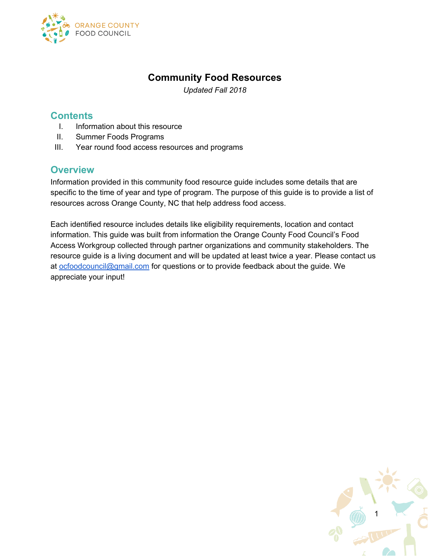

## **Community Food Resources**

*Updated Fall 2018*

#### **Contents**

- I. Information about this resource
- II. Summer Foods Programs
- III. Year round food access resources and programs

### **Overview**

Information provided in this community food resource guide includes some details that are specific to the time of year and type of program. The purpose of this guide is to provide a list of resources across Orange County, NC that help address food access.

Each identified resource includes details like eligibility requirements, location and contact information. This guide was built from information the Orange County Food Council's Food Access Workgroup collected through partner organizations and community stakeholders. The resource guide is a living document and will be updated at least twice a year. Please contact us at [ocfoodcouncil@gmail.com](mailto:ocfoodcouncil@gmail.com) for questions or to provide feedback about the guide. We appreciate your input!

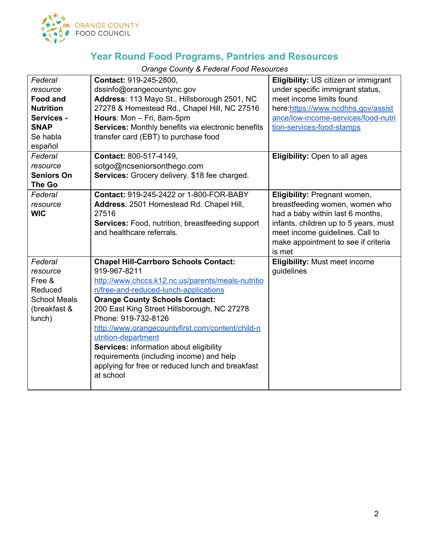

*Orange County & Federal Food Resources*

| Federal<br>resource<br><b>Food and</b><br><b>Nutrition</b><br>Services -<br><b>SNAP</b><br>Se habla<br>español | Contact: 919-245-2800,<br>dssinfo@orangecountync.gov<br>Address: 113 Mayo St., Hillsborough 2501, NC<br>27278 & Homestead Rd., Chapel Hill, NC 27516<br>Hours: Mon - Fri, 8am-5pm<br>Services: Monthly benefits via electronic benefits<br>transfer card (EBT) to purchase food                                                                                                                                                                                                                              | Eligibility: US citizen or immigrant<br>under specific immigrant status,<br>meet income limits found<br>here:https://www.ncdhhs.gov/assist<br>ance/low-income-services/food-nutri<br>tion-services-food-stamps                  |
|----------------------------------------------------------------------------------------------------------------|--------------------------------------------------------------------------------------------------------------------------------------------------------------------------------------------------------------------------------------------------------------------------------------------------------------------------------------------------------------------------------------------------------------------------------------------------------------------------------------------------------------|---------------------------------------------------------------------------------------------------------------------------------------------------------------------------------------------------------------------------------|
| Federal<br>resource<br><b>Seniors On</b><br>The Go                                                             | Contact: 800-517-4149,<br>sotgo@ncseniorsonthego.com<br>Services: Grocery delivery. \$18 fee charged.                                                                                                                                                                                                                                                                                                                                                                                                        | <b>Eligibility:</b> Open to all ages                                                                                                                                                                                            |
| Federal<br>resource<br><b>WIC</b>                                                                              | <b>Contact: 919-245-2422 or 1-800-FOR-BABY</b><br>Address: 2501 Homestead Rd. Chapel Hill,<br>27516<br>Services: Food, nutrition, breastfeeding support<br>and healthcare referrals.                                                                                                                                                                                                                                                                                                                         | Eligibility: Pregnant women,<br>breastfeeding women, women who<br>had a baby within last 6 months,<br>infants, children up to 5 years, must<br>meet income guidelines. Call to<br>make appointment to see if criteria<br>is met |
| Federal<br>resource<br>Free &<br>Reduced<br><b>School Meals</b><br>(breakfast &<br>lunch)                      | <b>Chapel Hill-Carrboro Schools Contact:</b><br>919-967-8211<br>http://www.chccs.k12.nc.us/parents/meals-nutritio<br>n/free-and-reduced-lunch-applications<br><b>Orange County Schools Contact:</b><br>200 East King Street Hillsborough, NC 27278<br>Phone: 919-732-8126<br>http://www.orangecountyfirst.com/content/child-n<br>utrition-department<br>Services: information about eligibility<br>requirements (including income) and help<br>applying for free or reduced lunch and breakfast<br>at school | <b>Eligibility: Must meet income</b><br>guidelines                                                                                                                                                                              |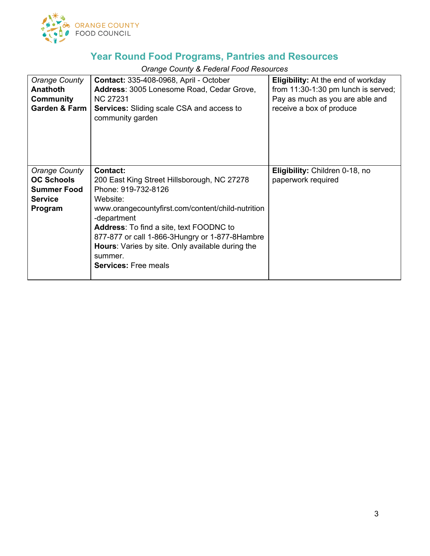

*Orange County & Federal Food Resources*

| Orange County<br><b>Anathoth</b><br>Community<br><b>Garden &amp; Farm</b>                    | <b>Contact: 335-408-0968, April - October</b><br>Address: 3005 Lonesome Road, Cedar Grove,<br>NC 27231<br><b>Services:</b> Sliding scale CSA and access to<br>community garden                                                                                                                                                                                          | <b>Eligibility:</b> At the end of workday<br>from $11:30-1:30$ pm lunch is served;<br>Pay as much as you are able and<br>receive a box of produce |
|----------------------------------------------------------------------------------------------|-------------------------------------------------------------------------------------------------------------------------------------------------------------------------------------------------------------------------------------------------------------------------------------------------------------------------------------------------------------------------|---------------------------------------------------------------------------------------------------------------------------------------------------|
| <b>Orange County</b><br><b>OC Schools</b><br><b>Summer Food</b><br><b>Service</b><br>Program | <b>Contact:</b><br>200 East King Street Hillsborough, NC 27278<br>Phone: 919-732-8126<br>Website:<br>www.orangecountyfirst.com/content/child-nutrition<br>-department<br><b>Address:</b> To find a site, text FOODNC to<br>877-877 or call 1-866-3Hungry or 1-877-8Hambre<br>Hours: Varies by site. Only available during the<br>summer.<br><b>Services:</b> Free meals | Eligibility: Children 0-18, no<br>paperwork required                                                                                              |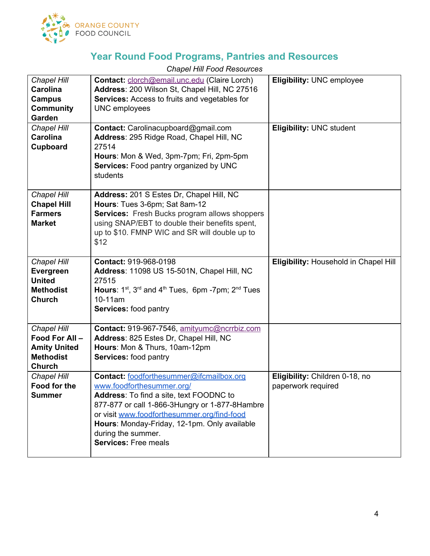

| Chapel Hill<br><b>Carolina</b><br><b>Campus</b><br><b>Community</b><br>Garden<br>Chapel Hill<br>Carolina<br>Cupboard | Contact: clorch@email.unc.edu (Claire Lorch)<br>Address: 200 Wilson St, Chapel Hill, NC 27516<br>Services: Access to fruits and vegetables for<br><b>UNC</b> employees<br>Contact: Carolinacupboard@gmail.com<br>Address: 295 Ridge Road, Chapel Hill, NC<br>27514                                                            | <b>Eligibility: UNC employee</b><br><b>Eligibility: UNC student</b> |
|----------------------------------------------------------------------------------------------------------------------|-------------------------------------------------------------------------------------------------------------------------------------------------------------------------------------------------------------------------------------------------------------------------------------------------------------------------------|---------------------------------------------------------------------|
|                                                                                                                      | Hours: Mon & Wed, 3pm-7pm; Fri, 2pm-5pm<br><b>Services:</b> Food pantry organized by UNC<br>students                                                                                                                                                                                                                          |                                                                     |
| Chapel Hill<br><b>Chapel Hill</b><br><b>Farmers</b><br><b>Market</b>                                                 | Address: 201 S Estes Dr, Chapel Hill, NC<br>Hours: Tues 3-6pm; Sat 8am-12<br><b>Services:</b> Fresh Bucks program allows shoppers<br>using SNAP/EBT to double their benefits spent,<br>up to \$10. FMNP WIC and SR will double up to<br>\$12                                                                                  |                                                                     |
| Chapel Hill<br>Evergreen<br><b>United</b><br><b>Methodist</b><br>Church                                              | Contact: 919-968-0198<br>Address: 11098 US 15-501N, Chapel Hill, NC<br>27515<br>Hours: $1^{st}$ , $3^{rd}$ and $4^{th}$ Tues, 6pm -7pm; $2^{nd}$ Tues<br>$10-11am$<br>Services: food pantry                                                                                                                                   | Eligibility: Household in Chapel Hill                               |
| Chapel Hill<br>Food For All-<br><b>Amity United</b><br><b>Methodist</b><br><b>Church</b>                             | Contact: 919-967-7546, amityumc@ncrrbiz.com<br>Address: 825 Estes Dr, Chapel Hill, NC<br>Hours: Mon & Thurs, 10am-12pm<br>Services: food pantry                                                                                                                                                                               |                                                                     |
| Chapel Hill<br>Food for the<br><b>Summer</b>                                                                         | Contact: foodforthesummer@ifcmailbox.org<br>www.foodforthesummer.org/<br><b>Address:</b> To find a site, text FOODNC to<br>877-877 or call 1-866-3Hungry or 1-877-8Hambre<br>or visit www.foodforthesummer.org/find-food<br>Hours: Monday-Friday, 12-1pm. Only available<br>during the summer.<br><b>Services: Free meals</b> | Eligibility: Children 0-18, no<br>paperwork required                |

*Chapel Hill Food Resources*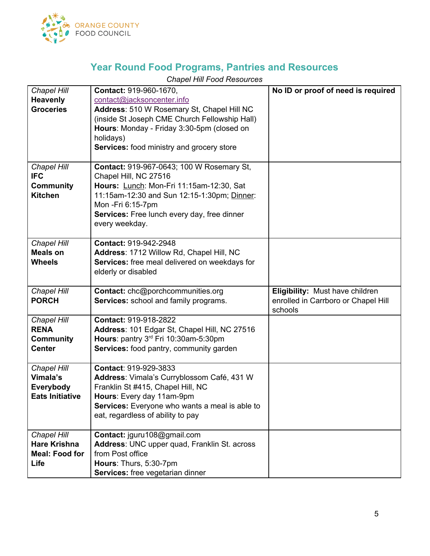

### *Chapel Hill Food Resources*

| <b>Chapel Hill</b>                | Contact: 919-960-1670,                                | No ID or proof of need is required  |
|-----------------------------------|-------------------------------------------------------|-------------------------------------|
| <b>Heavenly</b>                   | contact@jacksoncenter.info                            |                                     |
| <b>Groceries</b>                  | Address: 510 W Rosemary St, Chapel Hill NC            |                                     |
|                                   | (inside St Joseph CME Church Fellowship Hall)         |                                     |
|                                   | Hours: Monday - Friday 3:30-5pm (closed on            |                                     |
|                                   | holidays)                                             |                                     |
|                                   | <b>Services:</b> food ministry and grocery store      |                                     |
| Chapel Hill                       | Contact: 919-967-0643; 100 W Rosemary St,             |                                     |
| <b>IFC</b>                        | Chapel Hill, NC 27516                                 |                                     |
| <b>Community</b>                  | Hours: Lunch: Mon-Fri 11:15am-12:30, Sat              |                                     |
| <b>Kitchen</b>                    | 11:15am-12:30 and Sun 12:15-1:30pm; Dinner:           |                                     |
|                                   | Mon - Fri 6:15-7pm                                    |                                     |
|                                   | Services: Free lunch every day, free dinner           |                                     |
|                                   | every weekday.                                        |                                     |
| Chapel Hill                       | Contact: 919-942-2948                                 |                                     |
| <b>Meals on</b>                   | Address: 1712 Willow Rd, Chapel Hill, NC              |                                     |
| <b>Wheels</b>                     | Services: free meal delivered on weekdays for         |                                     |
|                                   | elderly or disabled                                   |                                     |
|                                   |                                                       |                                     |
|                                   |                                                       |                                     |
| Chapel Hill                       | Contact: chc@porchcommunities.org                     | Eligibility: Must have children     |
| <b>PORCH</b>                      | Services: school and family programs.                 | enrolled in Carrboro or Chapel Hill |
|                                   |                                                       | schools                             |
| <b>Chapel Hill</b>                | Contact: 919-918-2822                                 |                                     |
| <b>RENA</b>                       | Address: 101 Edgar St, Chapel Hill, NC 27516          |                                     |
| <b>Community</b><br><b>Center</b> | Hours: pantry 3rd Fri 10:30am-5:30pm                  |                                     |
|                                   | Services: food pantry, community garden               |                                     |
| Chapel Hill                       | Contact: 919-929-3833                                 |                                     |
| Vimala's                          | Address: Vimala's Curryblossom Café, 431 W            |                                     |
| Everybody                         | Franklin St #415, Chapel Hill, NC                     |                                     |
| <b>Eats Initiative</b>            | Hours: Every day 11am-9pm                             |                                     |
|                                   | <b>Services:</b> Everyone who wants a meal is able to |                                     |
|                                   | eat, regardless of ability to pay                     |                                     |
| <b>Chapel Hill</b>                | Contact: jguru108@gmail.com                           |                                     |
| <b>Hare Krishna</b>               | Address: UNC upper quad, Franklin St. across          |                                     |
| <b>Meal: Food for</b>             | from Post office                                      |                                     |
| Life                              | Hours: Thurs, 5:30-7pm                                |                                     |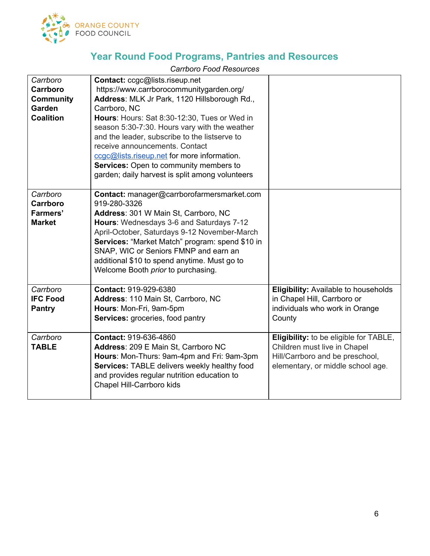

#### *Carrboro Food Resources*

| Carrboro         | Contact: ccgc@lists.riseup.net                  |                                             |
|------------------|-------------------------------------------------|---------------------------------------------|
| Carrboro         | https://www.carrborocommunitygarden.org/        |                                             |
| <b>Community</b> | Address: MLK Jr Park, 1120 Hillsborough Rd.,    |                                             |
| Garden           | Carrboro, NC                                    |                                             |
| <b>Coalition</b> | Hours: Hours: Sat 8:30-12:30, Tues or Wed in    |                                             |
|                  | season 5:30-7:30. Hours vary with the weather   |                                             |
|                  | and the leader, subscribe to the listserve to   |                                             |
|                  | receive announcements. Contact                  |                                             |
|                  | ccgc@lists.riseup.net for more information.     |                                             |
|                  | Services: Open to community members to          |                                             |
|                  | garden; daily harvest is split among volunteers |                                             |
|                  |                                                 |                                             |
| Carrboro         | Contact: manager@carrborofarmersmarket.com      |                                             |
| Carrboro         | 919-280-3326                                    |                                             |
| <b>Farmers'</b>  | Address: 301 W Main St, Carrboro, NC            |                                             |
| <b>Market</b>    | Hours: Wednesdays 3-6 and Saturdays 7-12        |                                             |
|                  | April-October, Saturdays 9-12 November-March    |                                             |
|                  | Services: "Market Match" program: spend \$10 in |                                             |
|                  | SNAP, WIC or Seniors FMNP and earn an           |                                             |
|                  | additional \$10 to spend anytime. Must go to    |                                             |
|                  | Welcome Booth prior to purchasing.              |                                             |
|                  |                                                 |                                             |
| Carrboro         | Contact: 919-929-6380                           | <b>Eligibility: Available to households</b> |
| <b>IFC Food</b>  | Address: 110 Main St, Carrboro, NC              | in Chapel Hill, Carrboro or                 |
| <b>Pantry</b>    | Hours: Mon-Fri, 9am-5pm                         | individuals who work in Orange              |
|                  | <b>Services:</b> groceries, food pantry         | County                                      |
|                  |                                                 |                                             |
| Carrboro         | Contact: 919-636-4860                           | Eligibility: to be eligible for TABLE,      |
| <b>TABLE</b>     | Address: 209 E Main St, Carrboro NC             | Children must live in Chapel                |
|                  | Hours: Mon-Thurs: 9am-4pm and Fri: 9am-3pm      | Hill/Carrboro and be preschool,             |
|                  | Services: TABLE delivers weekly healthy food    | elementary, or middle school age.           |
|                  | and provides regular nutrition education to     |                                             |
|                  | Chapel Hill-Carrboro kids                       |                                             |
|                  |                                                 |                                             |